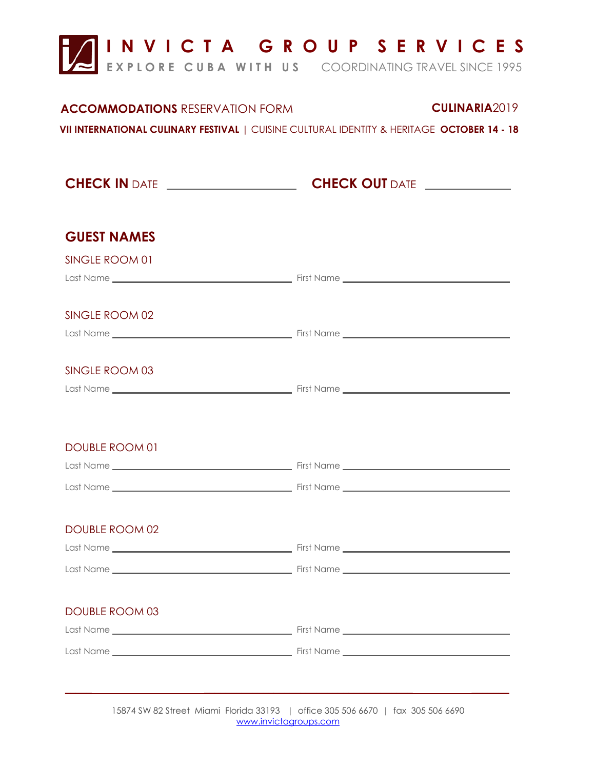

## **ACCOMMODATIONS** RESERVATION FORM **CULINARIA**2019

**VII INTERNATIONAL CULINARY FESTIVAL** | CUISINE CULTURAL IDENTITY & HERITAGE **OCTOBER 14 - 18** 

**CHECK IN** DATE **CHECK OUT** DATE

| <b>GUEST NAMES</b>    |  |
|-----------------------|--|
| SINGLE ROOM 01        |  |
|                       |  |
|                       |  |
| SINGLE ROOM 02        |  |
|                       |  |
|                       |  |
| SINGLE ROOM 03        |  |
|                       |  |
|                       |  |
| <b>DOUBLE ROOM 01</b> |  |
|                       |  |
|                       |  |
|                       |  |
| <b>DOUBLE ROOM 02</b> |  |
|                       |  |
|                       |  |
|                       |  |
|                       |  |
| <b>DOUBLE ROOM 03</b> |  |
|                       |  |
|                       |  |
|                       |  |
|                       |  |

15874 SW 82 Street Miami Florida 33193 | office 305 506 6670 | fax 305 506 6690 [www.invictagroups.com](http://www.invictagroups.com/)